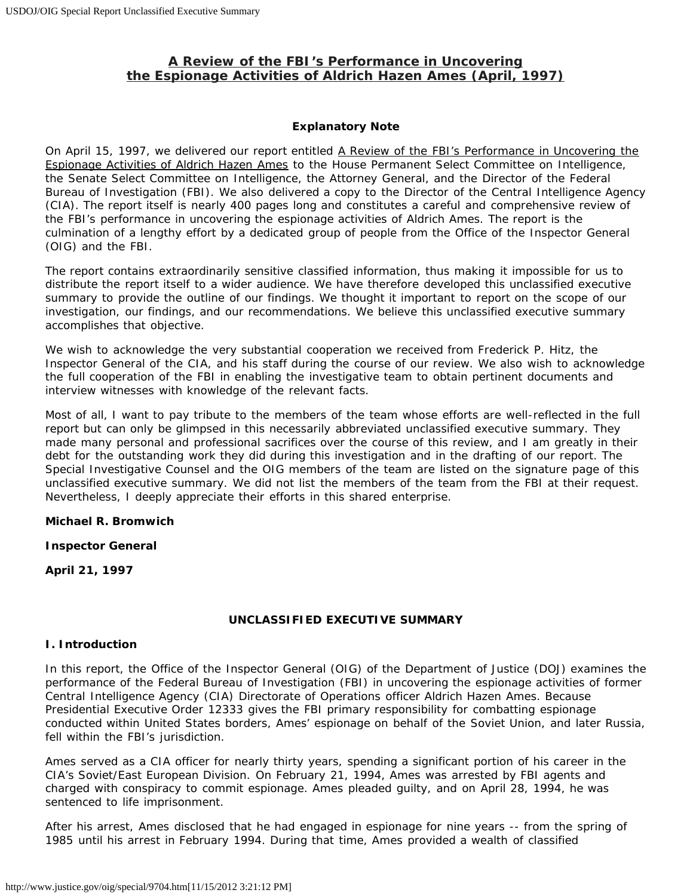# **A Review of the FBI's Performance in Uncovering the Espionage Activities of Aldrich Hazen Ames (April, 1997)**

#### **Explanatory Note**

On April 15, 1997, we delivered our report entitled A Review of the FBI's Performance in Uncovering the Espionage Activities of Aldrich Hazen Ames to the House Permanent Select Committee on Intelligence, the Senate Select Committee on Intelligence, the Attorney General, and the Director of the Federal Bureau of Investigation (FBI). We also delivered a copy to the Director of the Central Intelligence Agency (CIA). The report itself is nearly 400 pages long and constitutes a careful and comprehensive review of the FBI's performance in uncovering the espionage activities of Aldrich Ames. The report is the culmination of a lengthy effort by a dedicated group of people from the Office of the Inspector General (OIG) and the FBI.

The report contains extraordinarily sensitive classified information, thus making it impossible for us to distribute the report itself to a wider audience. We have therefore developed this unclassified executive summary to provide the outline of our findings. We thought it important to report on the scope of our investigation, our findings, and our recommendations. We believe this unclassified executive summary accomplishes that objective.

We wish to acknowledge the very substantial cooperation we received from Frederick P. Hitz, the Inspector General of the CIA, and his staff during the course of our review. We also wish to acknowledge the full cooperation of the FBI in enabling the investigative team to obtain pertinent documents and interview witnesses with knowledge of the relevant facts.

Most of all, I want to pay tribute to the members of the team whose efforts are well-reflected in the full report but can only be glimpsed in this necessarily abbreviated unclassified executive summary. They made many personal and professional sacrifices over the course of this review, and I am greatly in their debt for the outstanding work they did during this investigation and in the drafting of our report. The Special Investigative Counsel and the OIG members of the team are listed on the signature page of this unclassified executive summary. We did not list the members of the team from the FBI at their request. Nevertheless, I deeply appreciate their efforts in this shared enterprise.

#### **Michael R. Bromwich**

**Inspector General**

**April 21, 1997**

## **UNCLASSIFIED EXECUTIVE SUMMARY**

#### **I. Introduction**

In this report, the Office of the Inspector General (OIG) of the Department of Justice (DOJ) examines the performance of the Federal Bureau of Investigation (FBI) in uncovering the espionage activities of former Central Intelligence Agency (CIA) Directorate of Operations officer Aldrich Hazen Ames. Because Presidential Executive Order 12333 gives the FBI primary responsibility for combatting espionage conducted within United States borders, Ames' espionage on behalf of the Soviet Union, and later Russia, fell within the FBI's jurisdiction.

Ames served as a CIA officer for nearly thirty years, spending a significant portion of his career in the CIA's Soviet/East European Division. On February 21, 1994, Ames was arrested by FBI agents and charged with conspiracy to commit espionage. Ames pleaded guilty, and on April 28, 1994, he was sentenced to life imprisonment.

After his arrest, Ames disclosed that he had engaged in espionage for nine years -- from the spring of 1985 until his arrest in February 1994. During that time, Ames provided a wealth of classified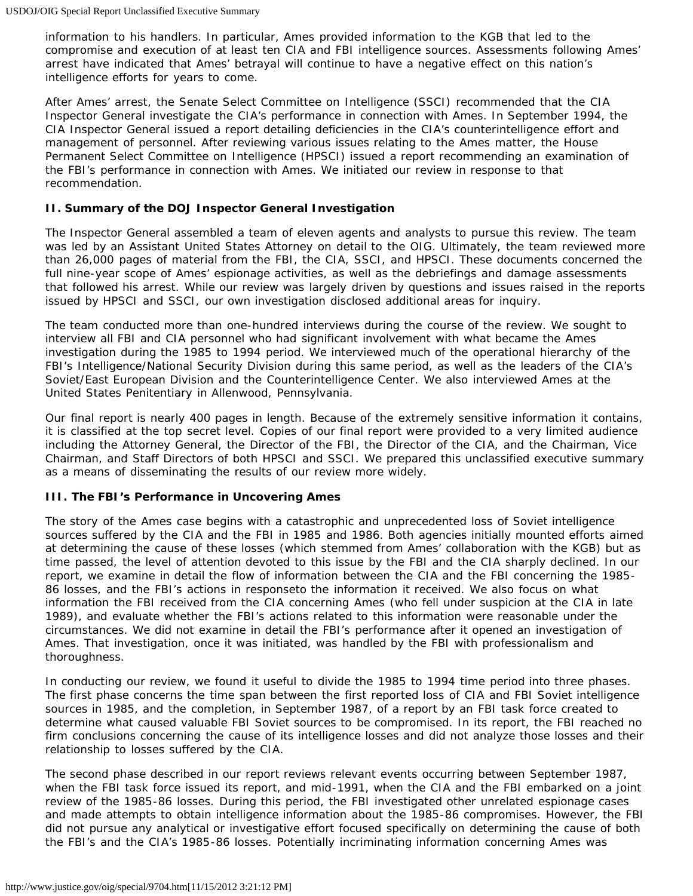information to his handlers. In particular, Ames provided information to the KGB that led to the compromise and execution of at least ten CIA and FBI intelligence sources. Assessments following Ames' arrest have indicated that Ames' betrayal will continue to have a negative effect on this nation's intelligence efforts for years to come.

After Ames' arrest, the Senate Select Committee on Intelligence (SSCI) recommended that the CIA Inspector General investigate the CIA's performance in connection with Ames. In September 1994, the CIA Inspector General issued a report detailing deficiencies in the CIA's counterintelligence effort and management of personnel. After reviewing various issues relating to the Ames matter, the House Permanent Select Committee on Intelligence (HPSCI) issued a report recommending an examination of the FBI's performance in connection with Ames. We initiated our review in response to that recommendation.

# **II. Summary of the DOJ Inspector General Investigation**

The Inspector General assembled a team of eleven agents and analysts to pursue this review. The team was led by an Assistant United States Attorney on detail to the OIG. Ultimately, the team reviewed more than 26,000 pages of material from the FBI, the CIA, SSCI, and HPSCI. These documents concerned the full nine-year scope of Ames' espionage activities, as well as the debriefings and damage assessments that followed his arrest. While our review was largely driven by questions and issues raised in the reports issued by HPSCI and SSCI, our own investigation disclosed additional areas for inquiry.

The team conducted more than one-hundred interviews during the course of the review. We sought to interview all FBI and CIA personnel who had significant involvement with what became the Ames investigation during the 1985 to 1994 period. We interviewed much of the operational hierarchy of the FBI's Intelligence/National Security Division during this same period, as well as the leaders of the CIA's Soviet/East European Division and the Counterintelligence Center. We also interviewed Ames at the United States Penitentiary in Allenwood, Pennsylvania.

Our final report is nearly 400 pages in length. Because of the extremely sensitive information it contains, it is classified at the top secret level. Copies of our final report were provided to a very limited audience including the Attorney General, the Director of the FBI, the Director of the CIA, and the Chairman, Vice Chairman, and Staff Directors of both HPSCI and SSCI. We prepared this unclassified executive summary as a means of disseminating the results of our review more widely.

## **III. The FBI's Performance in Uncovering Ames**

The story of the Ames case begins with a catastrophic and unprecedented loss of Soviet intelligence sources suffered by the CIA and the FBI in 1985 and 1986. Both agencies initially mounted efforts aimed at determining the cause of these losses (which stemmed from Ames' collaboration with the KGB) but as time passed, the level of attention devoted to this issue by the FBI and the CIA sharply declined. In our report, we examine in detail the flow of information between the CIA and the FBI concerning the 1985- 86 losses, and the FBI's actions in responseto the information it received. We also focus on what information the FBI received from the CIA concerning Ames (who fell under suspicion at the CIA in late 1989), and evaluate whether the FBI's actions related to this information were reasonable under the circumstances. We did not examine in detail the FBI's performance after it opened an investigation of Ames. That investigation, once it was initiated, was handled by the FBI with professionalism and thoroughness.

In conducting our review, we found it useful to divide the 1985 to 1994 time period into three phases. The first phase concerns the time span between the first reported loss of CIA and FBI Soviet intelligence sources in 1985, and the completion, in September 1987, of a report by an FBI task force created to determine what caused valuable FBI Soviet sources to be compromised. In its report, the FBI reached no firm conclusions concerning the cause of its intelligence losses and did not analyze those losses and their relationship to losses suffered by the CIA.

The second phase described in our report reviews relevant events occurring between September 1987, when the FBI task force issued its report, and mid-1991, when the CIA and the FBI embarked on a joint review of the 1985-86 losses. During this period, the FBI investigated other unrelated espionage cases and made attempts to obtain intelligence information about the 1985-86 compromises. However, the FBI did not pursue any analytical or investigative effort focused specifically on determining the cause of both the FBI's and the CIA's 1985-86 losses. Potentially incriminating information concerning Ames was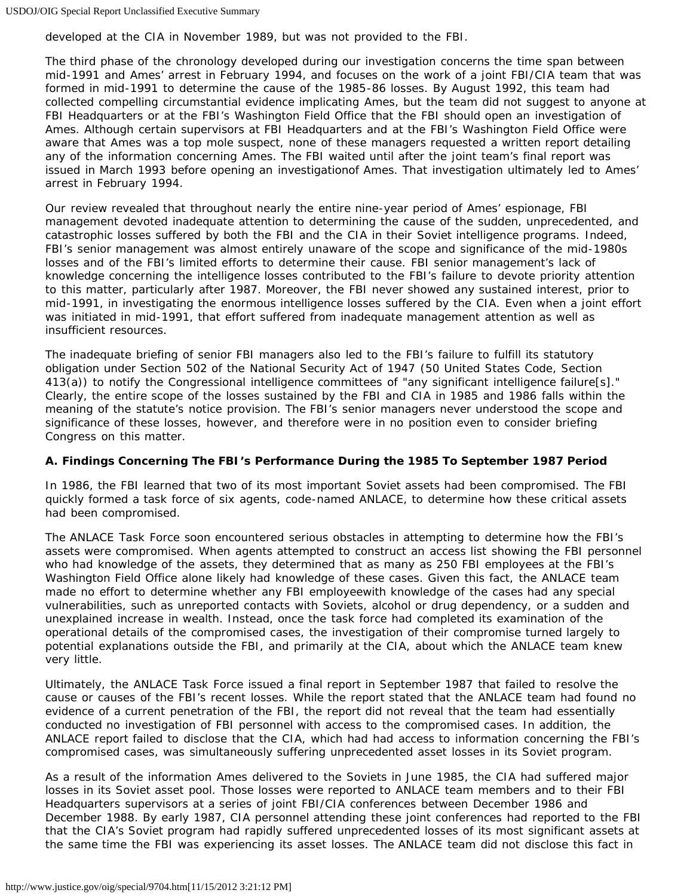developed at the CIA in November 1989, but was not provided to the FBI.

The third phase of the chronology developed during our investigation concerns the time span between mid-1991 and Ames' arrest in February 1994, and focuses on the work of a joint FBI/CIA team that was formed in mid-1991 to determine the cause of the 1985-86 losses. By August 1992, this team had collected compelling circumstantial evidence implicating Ames, but the team did not suggest to anyone at FBI Headquarters or at the FBI's Washington Field Office that the FBI should open an investigation of Ames. Although certain supervisors at FBI Headquarters and at the FBI's Washington Field Office were aware that Ames was a top mole suspect, none of these managers requested a written report detailing any of the information concerning Ames. The FBI waited until after the joint team's final report was issued in March 1993 before opening an investigationof Ames. That investigation ultimately led to Ames' arrest in February 1994.

Our review revealed that throughout nearly the entire nine-year period of Ames' espionage, FBI management devoted inadequate attention to determining the cause of the sudden, unprecedented, and catastrophic losses suffered by both the FBI and the CIA in their Soviet intelligence programs. Indeed, FBI's senior management was almost entirely unaware of the scope and significance of the mid-1980s losses and of the FBI's limited efforts to determine their cause. FBI senior management's lack of knowledge concerning the intelligence losses contributed to the FBI's failure to devote priority attention to this matter, particularly after 1987. Moreover, the FBI never showed any sustained interest, prior to mid-1991, in investigating the enormous intelligence losses suffered by the CIA. Even when a joint effort was initiated in mid-1991, that effort suffered from inadequate management attention as well as insufficient resources.

The inadequate briefing of senior FBI managers also led to the FBI's failure to fulfill its statutory obligation under Section 502 of the National Security Act of 1947 (50 United States Code, Section 413(a)) to notify the Congressional intelligence committees of "any significant intelligence failure[s]." Clearly, the entire scope of the losses sustained by the FBI and CIA in 1985 and 1986 falls within the meaning of the statute's notice provision. The FBI's senior managers never understood the scope and significance of these losses, however, and therefore were in no position even to consider briefing Congress on this matter.

## **A. Findings Concerning The FBI's Performance During the 1985 To September 1987 Period**

In 1986, the FBI learned that two of its most important Soviet assets had been compromised. The FBI quickly formed a task force of six agents, code-named ANLACE, to determine how these critical assets had been compromised.

The ANLACE Task Force soon encountered serious obstacles in attempting to determine how the FBI's assets were compromised. When agents attempted to construct an access list showing the FBI personnel who had knowledge of the assets, they determined that as many as 250 FBI employees at the FBI's Washington Field Office alone likely had knowledge of these cases. Given this fact, the ANLACE team made no effort to determine whether any FBI employeewith knowledge of the cases had any special vulnerabilities, such as unreported contacts with Soviets, alcohol or drug dependency, or a sudden and unexplained increase in wealth. Instead, once the task force had completed its examination of the operational details of the compromised cases, the investigation of their compromise turned largely to potential explanations outside the FBI, and primarily at the CIA, about which the ANLACE team knew very little.

Ultimately, the ANLACE Task Force issued a final report in September 1987 that failed to resolve the cause or causes of the FBI's recent losses. While the report stated that the ANLACE team had found no evidence of a current penetration of the FBI, the report did not reveal that the team had essentially conducted no investigation of FBI personnel with access to the compromised cases. In addition, the ANLACE report failed to disclose that the CIA, which had had access to information concerning the FBI's compromised cases, was simultaneously suffering unprecedented asset losses in its Soviet program.

As a result of the information Ames delivered to the Soviets in June 1985, the CIA had suffered major losses in its Soviet asset pool. Those losses were reported to ANLACE team members and to their FBI Headquarters supervisors at a series of joint FBI/CIA conferences between December 1986 and December 1988. By early 1987, CIA personnel attending these joint conferences had reported to the FBI that the CIA's Soviet program had rapidly suffered unprecedented losses of its most significant assets at the same time the FBI was experiencing its asset losses. The ANLACE team did not disclose this fact in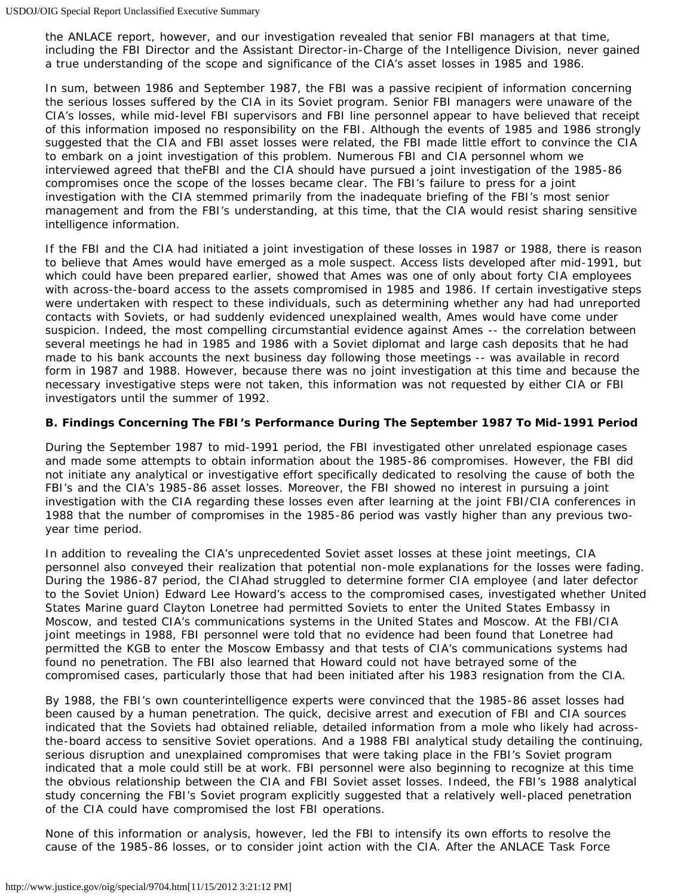the ANLACE report, however, and our investigation revealed that senior FBI managers at that time, including the FBI Director and the Assistant Director-in-Charge of the Intelligence Division, never gained a true understanding of the scope and significance of the CIA's asset losses in 1985 and 1986.

In sum, between 1986 and September 1987, the FBI was a passive recipient of information concerning the serious losses suffered by the CIA in its Soviet program. Senior FBI managers were unaware of the CIA's losses, while mid-level FBI supervisors and FBI line personnel appear to have believed that receipt of this information imposed no responsibility on the FBI. Although the events of 1985 and 1986 strongly suggested that the CIA and FBI asset losses were related, the FBI made little effort to convince the CIA to embark on a joint investigation of this problem. Numerous FBI and CIA personnel whom we interviewed agreed that theFBI and the CIA should have pursued a joint investigation of the 1985-86 compromises once the scope of the losses became clear. The FBI's failure to press for a joint investigation with the CIA stemmed primarily from the inadequate briefing of the FBI's most senior management and from the FBI's understanding, at this time, that the CIA would resist sharing sensitive intelligence information.

If the FBI and the CIA had initiated a joint investigation of these losses in 1987 or 1988, there is reason to believe that Ames would have emerged as a mole suspect. Access lists developed after mid-1991, but which could have been prepared earlier, showed that Ames was one of only about forty CIA employees with across-the-board access to the assets compromised in 1985 and 1986. If certain investigative steps were undertaken with respect to these individuals, such as determining whether any had had unreported contacts with Soviets, or had suddenly evidenced unexplained wealth, Ames would have come under suspicion. Indeed, the most compelling circumstantial evidence against Ames -- the correlation between several meetings he had in 1985 and 1986 with a Soviet diplomat and large cash deposits that he had made to his bank accounts the next business day following those meetings -- was available in record form in 1987 and 1988. However, because there was no joint investigation at this time and because the necessary investigative steps were not taken, this information was not requested by either CIA or FBI investigators until the summer of 1992.

#### **B. Findings Concerning The FBI's Performance During The September 1987 To Mid-1991 Period**

During the September 1987 to mid-1991 period, the FBI investigated other unrelated espionage cases and made some attempts to obtain information about the 1985-86 compromises. However, the FBI did not initiate any analytical or investigative effort specifically dedicated to resolving the cause of both the FBI's and the CIA's 1985-86 asset losses. Moreover, the FBI showed no interest in pursuing a joint investigation with the CIA regarding these losses even after learning at the joint FBI/CIA conferences in 1988 that the number of compromises in the 1985-86 period was vastly higher than any previous twoyear time period.

In addition to revealing the CIA's unprecedented Soviet asset losses at these joint meetings, CIA personnel also conveyed their realization that potential non-mole explanations for the losses were fading. During the 1986-87 period, the CIAhad struggled to determine former CIA employee (and later defector to the Soviet Union) Edward Lee Howard's access to the compromised cases, investigated whether United States Marine guard Clayton Lonetree had permitted Soviets to enter the United States Embassy in Moscow, and tested CIA's communications systems in the United States and Moscow. At the FBI/CIA joint meetings in 1988, FBI personnel were told that no evidence had been found that Lonetree had permitted the KGB to enter the Moscow Embassy and that tests of CIA's communications systems had found no penetration. The FBI also learned that Howard could not have betrayed some of the compromised cases, particularly those that had been initiated after his 1983 resignation from the CIA.

By 1988, the FBI's own counterintelligence experts were convinced that the 1985-86 asset losses had been caused by a human penetration. The quick, decisive arrest and execution of FBI and CIA sources indicated that the Soviets had obtained reliable, detailed information from a mole who likely had acrossthe-board access to sensitive Soviet operations. And a 1988 FBI analytical study detailing the continuing, serious disruption and unexplained compromises that were taking place in the FBI's Soviet program indicated that a mole could still be at work. FBI personnel were also beginning to recognize at this time the obvious relationship between the CIA and FBI Soviet asset losses. Indeed, the FBI's 1988 analytical study concerning the FBI's Soviet program explicitly suggested that a relatively well-placed penetration of the CIA could have compromised the lost FBI operations.

None of this information or analysis, however, led the FBI to intensify its own efforts to resolve the cause of the 1985-86 losses, or to consider joint action with the CIA. After the ANLACE Task Force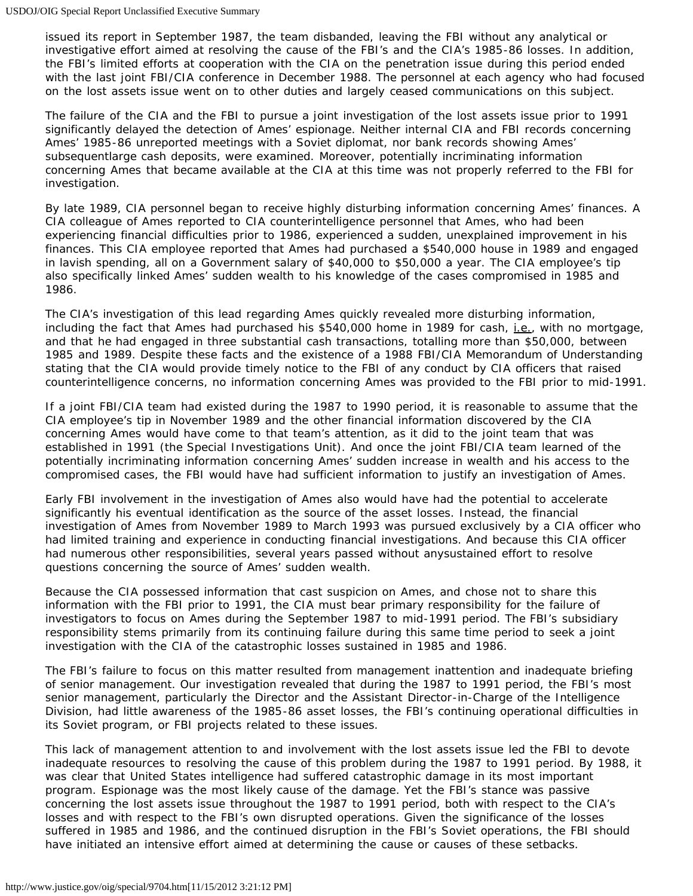issued its report in September 1987, the team disbanded, leaving the FBI without any analytical or investigative effort aimed at resolving the cause of the FBI's and the CIA's 1985-86 losses. In addition, the FBI's limited efforts at cooperation with the CIA on the penetration issue during this period ended with the last joint FBI/CIA conference in December 1988. The personnel at each agency who had focused on the lost assets issue went on to other duties and largely ceased communications on this subject.

The failure of the CIA and the FBI to pursue a joint investigation of the lost assets issue prior to 1991 significantly delayed the detection of Ames' espionage. Neither internal CIA and FBI records concerning Ames' 1985-86 unreported meetings with a Soviet diplomat, nor bank records showing Ames' subsequentlarge cash deposits, were examined. Moreover, potentially incriminating information concerning Ames that became available at the CIA at this time was not properly referred to the FBI for investigation.

By late 1989, CIA personnel began to receive highly disturbing information concerning Ames' finances. A CIA colleague of Ames reported to CIA counterintelligence personnel that Ames, who had been experiencing financial difficulties prior to 1986, experienced a sudden, unexplained improvement in his finances. This CIA employee reported that Ames had purchased a \$540,000 house in 1989 and engaged in lavish spending, all on a Government salary of \$40,000 to \$50,000 a year. The CIA employee's tip also specifically linked Ames' sudden wealth to his knowledge of the cases compromised in 1985 and 1986.

The CIA's investigation of this lead regarding Ames quickly revealed more disturbing information, including the fact that Ames had purchased his \$540,000 home in 1989 for cash, *i.e.*, with no mortgage, and that he had engaged in three substantial cash transactions, totalling more than \$50,000, between 1985 and 1989. Despite these facts and the existence of a 1988 FBI/CIA Memorandum of Understanding stating that the CIA would provide timely notice to the FBI of any conduct by CIA officers that raised counterintelligence concerns, no information concerning Ames was provided to the FBI prior to mid-1991.

If a joint FBI/CIA team had existed during the 1987 to 1990 period, it is reasonable to assume that the CIA employee's tip in November 1989 and the other financial information discovered by the CIA concerning Ames would have come to that team's attention, as it did to the joint team that was established in 1991 (the Special Investigations Unit). And once the joint FBI/CIA team learned of the potentially incriminating information concerning Ames' sudden increase in wealth and his access to the compromised cases, the FBI would have had sufficient information to justify an investigation of Ames.

Early FBI involvement in the investigation of Ames also would have had the potential to accelerate significantly his eventual identification as the source of the asset losses. Instead, the financial investigation of Ames from November 1989 to March 1993 was pursued exclusively by a CIA officer who had limited training and experience in conducting financial investigations. And because this CIA officer had numerous other responsibilities, several years passed without anysustained effort to resolve questions concerning the source of Ames' sudden wealth.

Because the CIA possessed information that cast suspicion on Ames, and chose not to share this information with the FBI prior to 1991, the CIA must bear primary responsibility for the failure of investigators to focus on Ames during the September 1987 to mid-1991 period. The FBI's subsidiary responsibility stems primarily from its continuing failure during this same time period to seek a joint investigation with the CIA of the catastrophic losses sustained in 1985 and 1986.

The FBI's failure to focus on this matter resulted from management inattention and inadequate briefing of senior management. Our investigation revealed that during the 1987 to 1991 period, the FBI's most senior management, particularly the Director and the Assistant Director-in-Charge of the Intelligence Division, had little awareness of the 1985-86 asset losses, the FBI's continuing operational difficulties in its Soviet program, or FBI projects related to these issues.

This lack of management attention to and involvement with the lost assets issue led the FBI to devote inadequate resources to resolving the cause of this problem during the 1987 to 1991 period. By 1988, it was clear that United States intelligence had suffered catastrophic damage in its most important program. Espionage was the most likely cause of the damage. Yet the FBI's stance was passive concerning the lost assets issue throughout the 1987 to 1991 period, both with respect to the CIA's losses and with respect to the FBI's own disrupted operations. Given the significance of the losses suffered in 1985 and 1986, and the continued disruption in the FBI's Soviet operations, the FBI should have initiated an intensive effort aimed at determining the cause or causes of these setbacks.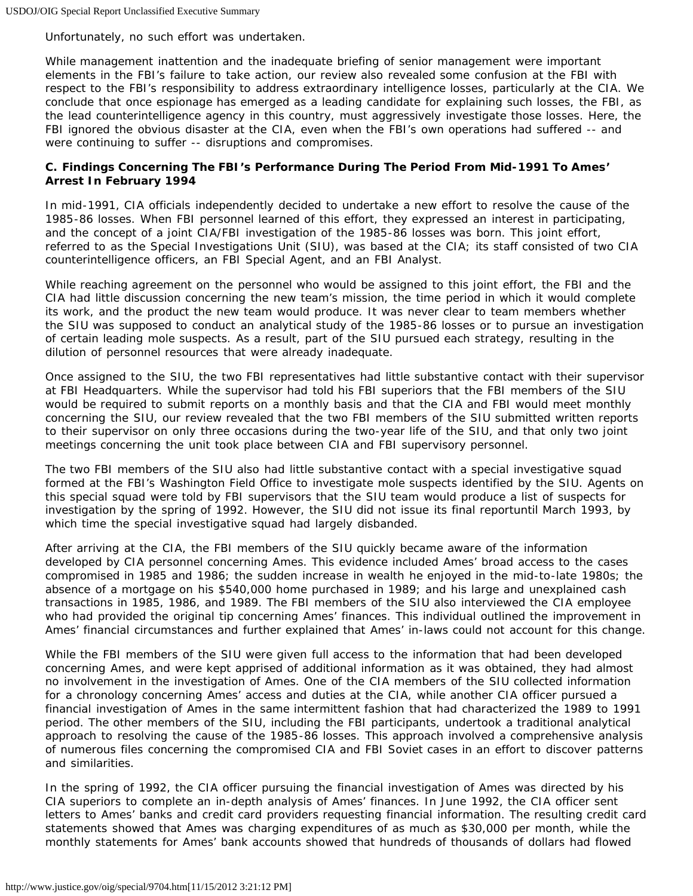Unfortunately, no such effort was undertaken.

While management inattention and the inadequate briefing of senior management were important elements in the FBI's failure to take action, our review also revealed some confusion at the FBI with respect to the FBI's responsibility to address extraordinary intelligence losses, particularly at the CIA. We conclude that once espionage has emerged as a leading candidate for explaining such losses, the FBI, as the lead counterintelligence agency in this country, must aggressively investigate those losses. Here, the FBI ignored the obvious disaster at the CIA, even when the FBI's own operations had suffered -- and were continuing to suffer -- disruptions and compromises.

#### **C. Findings Concerning The FBI's Performance During The Period From Mid-1991 To Ames' Arrest In February 1994**

In mid-1991, CIA officials independently decided to undertake a new effort to resolve the cause of the 1985-86 losses. When FBI personnel learned of this effort, they expressed an interest in participating, and the concept of a joint CIA/FBI investigation of the 1985-86 losses was born. This joint effort, referred to as the Special Investigations Unit (SIU), was based at the CIA; its staff consisted of two CIA counterintelligence officers, an FBI Special Agent, and an FBI Analyst.

While reaching agreement on the personnel who would be assigned to this joint effort, the FBI and the CIA had little discussion concerning the new team's mission, the time period in which it would complete its work, and the product the new team would produce. It was never clear to team members whether the SIU was supposed to conduct an analytical study of the 1985-86 losses or to pursue an investigation of certain leading mole suspects. As a result, part of the SIU pursued each strategy, resulting in the dilution of personnel resources that were already inadequate.

Once assigned to the SIU, the two FBI representatives had little substantive contact with their supervisor at FBI Headquarters. While the supervisor had told his FBI superiors that the FBI members of the SIU would be required to submit reports on a monthly basis and that the CIA and FBI would meet monthly concerning the SIU, our review revealed that the two FBI members of the SIU submitted written reports to their supervisor on only three occasions during the two-year life of the SIU, and that only two joint meetings concerning the unit took place between CIA and FBI supervisory personnel.

The two FBI members of the SIU also had little substantive contact with a special investigative squad formed at the FBI's Washington Field Office to investigate mole suspects identified by the SIU. Agents on this special squad were told by FBI supervisors that the SIU team would produce a list of suspects for investigation by the spring of 1992. However, the SIU did not issue its final reportuntil March 1993, by which time the special investigative squad had largely disbanded.

After arriving at the CIA, the FBI members of the SIU quickly became aware of the information developed by CIA personnel concerning Ames. This evidence included Ames' broad access to the cases compromised in 1985 and 1986; the sudden increase in wealth he enjoyed in the mid-to-late 1980s; the absence of a mortgage on his \$540,000 home purchased in 1989; and his large and unexplained cash transactions in 1985, 1986, and 1989. The FBI members of the SIU also interviewed the CIA employee who had provided the original tip concerning Ames' finances. This individual outlined the improvement in Ames' financial circumstances and further explained that Ames' in-laws could not account for this change.

While the FBI members of the SIU were given full access to the information that had been developed concerning Ames, and were kept apprised of additional information as it was obtained, they had almost no involvement in the investigation of Ames. One of the CIA members of the SIU collected information for a chronology concerning Ames' access and duties at the CIA, while another CIA officer pursued a financial investigation of Ames in the same intermittent fashion that had characterized the 1989 to 1991 period. The other members of the SIU, including the FBI participants, undertook a traditional analytical approach to resolving the cause of the 1985-86 losses. This approach involved a comprehensive analysis of numerous files concerning the compromised CIA and FBI Soviet cases in an effort to discover patterns and similarities.

In the spring of 1992, the CIA officer pursuing the financial investigation of Ames was directed by his CIA superiors to complete an in-depth analysis of Ames' finances. In June 1992, the CIA officer sent letters to Ames' banks and credit card providers requesting financial information. The resulting credit card statements showed that Ames was charging expenditures of as much as \$30,000 per month, while the monthly statements for Ames' bank accounts showed that hundreds of thousands of dollars had flowed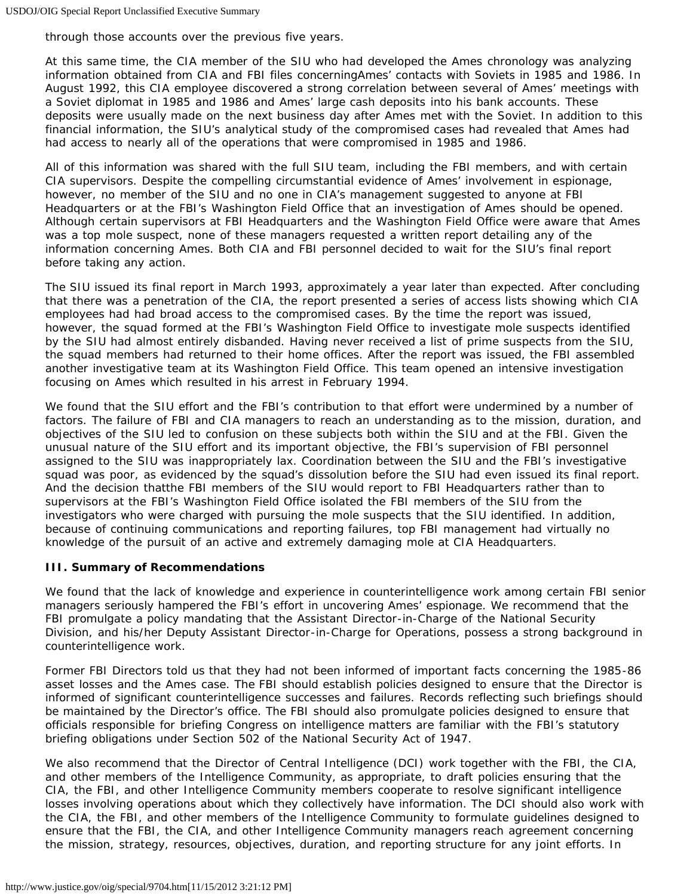through those accounts over the previous five years.

At this same time, the CIA member of the SIU who had developed the Ames chronology was analyzing information obtained from CIA and FBI files concerningAmes' contacts with Soviets in 1985 and 1986. In August 1992, this CIA employee discovered a strong correlation between several of Ames' meetings with a Soviet diplomat in 1985 and 1986 and Ames' large cash deposits into his bank accounts. These deposits were usually made on the next business day after Ames met with the Soviet. In addition to this financial information, the SIU's analytical study of the compromised cases had revealed that Ames had had access to nearly all of the operations that were compromised in 1985 and 1986.

All of this information was shared with the full SIU team, including the FBI members, and with certain CIA supervisors. Despite the compelling circumstantial evidence of Ames' involvement in espionage, however, no member of the SIU and no one in CIA's management suggested to anyone at FBI Headquarters or at the FBI's Washington Field Office that an investigation of Ames should be opened. Although certain supervisors at FBI Headquarters and the Washington Field Office were aware that Ames was a top mole suspect, none of these managers requested a written report detailing any of the information concerning Ames. Both CIA and FBI personnel decided to wait for the SIU's final report before taking any action.

The SIU issued its final report in March 1993, approximately a year later than expected. After concluding that there was a penetration of the CIA, the report presented a series of access lists showing which CIA employees had had broad access to the compromised cases. By the time the report was issued, however, the squad formed at the FBI's Washington Field Office to investigate mole suspects identified by the SIU had almost entirely disbanded. Having never received a list of prime suspects from the SIU, the squad members had returned to their home offices. After the report was issued, the FBI assembled another investigative team at its Washington Field Office. This team opened an intensive investigation focusing on Ames which resulted in his arrest in February 1994.

We found that the SIU effort and the FBI's contribution to that effort were undermined by a number of factors. The failure of FBI and CIA managers to reach an understanding as to the mission, duration, and objectives of the SIU led to confusion on these subjects both within the SIU and at the FBI. Given the unusual nature of the SIU effort and its important objective, the FBI's supervision of FBI personnel assigned to the SIU was inappropriately lax. Coordination between the SIU and the FBI's investigative squad was poor, as evidenced by the squad's dissolution before the SIU had even issued its final report. And the decision thatthe FBI members of the SIU would report to FBI Headquarters rather than to supervisors at the FBI's Washington Field Office isolated the FBI members of the SIU from the investigators who were charged with pursuing the mole suspects that the SIU identified. In addition, because of continuing communications and reporting failures, top FBI management had virtually no knowledge of the pursuit of an active and extremely damaging mole at CIA Headquarters.

## **III. Summary of Recommendations**

We found that the lack of knowledge and experience in counterintelligence work among certain FBI senior managers seriously hampered the FBI's effort in uncovering Ames' espionage. We recommend that the FBI promulgate a policy mandating that the Assistant Director-in-Charge of the National Security Division, and his/her Deputy Assistant Director-in-Charge for Operations, possess a strong background in counterintelligence work.

Former FBI Directors told us that they had not been informed of important facts concerning the 1985-86 asset losses and the Ames case. The FBI should establish policies designed to ensure that the Director is informed of significant counterintelligence successes and failures. Records reflecting such briefings should be maintained by the Director's office. The FBI should also promulgate policies designed to ensure that officials responsible for briefing Congress on intelligence matters are familiar with the FBI's statutory briefing obligations under Section 502 of the National Security Act of 1947.

We also recommend that the Director of Central Intelligence (DCI) work together with the FBI, the CIA, and other members of the Intelligence Community, as appropriate, to draft policies ensuring that the CIA, the FBI, and other Intelligence Community members cooperate to resolve significant intelligence losses involving operations about which they collectively have information. The DCI should also work with the CIA, the FBI, and other members of the Intelligence Community to formulate guidelines designed to ensure that the FBI, the CIA, and other Intelligence Community managers reach agreement concerning the mission, strategy, resources, objectives, duration, and reporting structure for any joint efforts. In